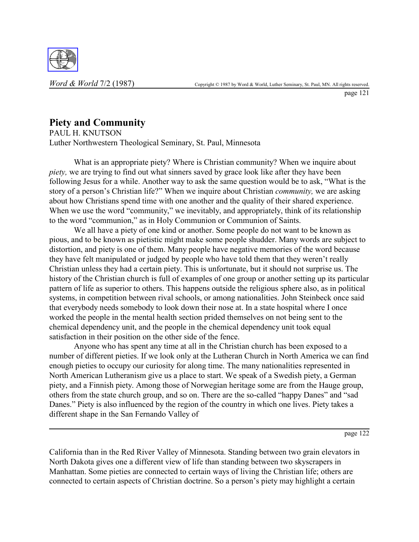

## **Piety and Community**

PAUL H. KNUTSON Luther Northwestern Theological Seminary, St. Paul, Minnesota

What is an appropriate piety? Where is Christian community? When we inquire about *piety,* we are trying to find out what sinners saved by grace look like after they have been following Jesus for a while. Another way to ask the same question would be to ask, "What is the story of a person's Christian life?" When we inquire about Christian *community*, we are asking about how Christians spend time with one another and the quality of their shared experience. When we use the word "community," we inevitably, and appropriately, think of its relationship to the word "communion," as in Holy Communion or Communion of Saints.

We all have a piety of one kind or another. Some people do not want to be known as pious, and to be known as pietistic might make some people shudder. Many words are subject to distortion, and piety is one of them. Many people have negative memories of the word because they have felt manipulated or judged by people who have told them that they weren't really Christian unless they had a certain piety. This is unfortunate, but it should not surprise us. The history of the Christian church is full of examples of one group or another setting up its particular pattern of life as superior to others. This happens outside the religious sphere also, as in political systems, in competition between rival schools, or among nationalities. John Steinbeck once said that everybody needs somebody to look down their nose at. In a state hospital where I once worked the people in the mental health section prided themselves on not being sent to the chemical dependency unit, and the people in the chemical dependency unit took equal satisfaction in their position on the other side of the fence.

Anyone who has spent any time at all in the Christian church has been exposed to a number of different pieties. If we look only at the Lutheran Church in North America we can find enough pieties to occupy our curiosity for along time. The many nationalities represented in North American Lutheranism give us a place to start. We speak of a Swedish piety, a German piety, and a Finnish piety. Among those of Norwegian heritage some are from the Hauge group, others from the state church group, and so on. There are the so-called "happy Danes" and "sad Danes." Piety is also influenced by the region of the country in which one lives. Piety takes a different shape in the San Fernando Valley of

page 122

California than in the Red River Valley of Minnesota. Standing between two grain elevators in North Dakota gives one a different view of life than standing between two skyscrapers in Manhattan. Some pieties are connected to certain ways of living the Christian life; others are connected to certain aspects of Christian doctrine. So a person's piety may highlight a certain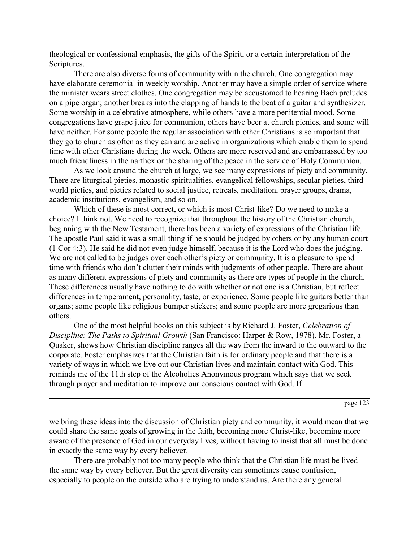theological or confessional emphasis, the gifts of the Spirit, or a certain interpretation of the Scriptures.

There are also diverse forms of community within the church. One congregation may have elaborate ceremonial in weekly worship. Another may have a simple order of service where the minister wears street clothes. One congregation may be accustomed to hearing Bach preludes on a pipe organ; another breaks into the clapping of hands to the beat of a guitar and synthesizer. Some worship in a celebrative atmosphere, while others have a more penitential mood. Some congregations have grape juice for communion, others have beer at church picnics, and some will have neither. For some people the regular association with other Christians is so important that they go to church as often as they can and are active in organizations which enable them to spend time with other Christians during the week. Others are more reserved and are embarrassed by too much friendliness in the narthex or the sharing of the peace in the service of Holy Communion.

As we look around the church at large, we see many expressions of piety and community. There are liturgical pieties, monastic spiritualities, evangelical fellowships, secular pieties, third world pieties, and pieties related to social justice, retreats, meditation, prayer groups, drama, academic institutions, evangelism, and so on.

Which of these is most correct, or which is most Christ-like? Do we need to make a choice? I think not. We need to recognize that throughout the history of the Christian church, beginning with the New Testament, there has been a variety of expressions of the Christian life. The apostle Paul said it was a small thing if he should be judged by others or by any human court (1 Cor 4:3). He said he did not even judge himself, because it is the Lord who does the judging. We are not called to be judges over each other's piety or community. It is a pleasure to spend time with friends who don't clutter their minds with judgments of other people. There are about as many different expressions of piety and community as there are types of people in the church. These differences usually have nothing to do with whether or not one is a Christian, but reflect differences in temperament, personality, taste, or experience. Some people like guitars better than organs; some people like religious bumper stickers; and some people are more gregarious than others.

One of the most helpful books on this subject is by Richard J. Foster, *Celebration of Discipline: The Paths to Spiritual Growth* (San Francisco: Harper & Row, 1978). Mr. Foster, a Quaker, shows how Christian discipline ranges all the way from the inward to the outward to the corporate. Foster emphasizes that the Christian faith is for ordinary people and that there is a variety of ways in which we live out our Christian lives and maintain contact with God. This reminds me of the 11th step of the Alcoholics Anonymous program which says that we seek through prayer and meditation to improve our conscious contact with God. If

page 123

we bring these ideas into the discussion of Christian piety and community, it would mean that we could share the same goals of growing in the faith, becoming more Christ-like, becoming more aware of the presence of God in our everyday lives, without having to insist that all must be done in exactly the same way by every believer.

There are probably not too many people who think that the Christian life must be lived the same way by every believer. But the great diversity can sometimes cause confusion, especially to people on the outside who are trying to understand us. Are there any general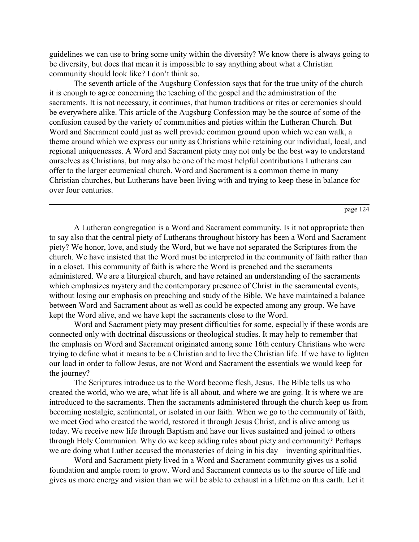guidelines we can use to bring some unity within the diversity? We know there is always going to be diversity, but does that mean it is impossible to say anything about what a Christian community should look like? I don't think so.

The seventh article of the Augsburg Confession says that for the true unity of the church it is enough to agree concerning the teaching of the gospel and the administration of the sacraments. It is not necessary, it continues, that human traditions or rites or ceremonies should be everywhere alike. This article of the Augsburg Confession may be the source of some of the confusion caused by the variety of communities and pieties within the Lutheran Church. But Word and Sacrament could just as well provide common ground upon which we can walk, a theme around which we express our unity as Christians while retaining our individual, local, and regional uniquenesses. A Word and Sacrament piety may not only be the best way to understand ourselves as Christians, but may also be one of the most helpful contributions Lutherans can offer to the larger ecumenical church. Word and Sacrament is a common theme in many Christian churches, but Lutherans have been living with and trying to keep these in balance for over four centuries.

A Lutheran congregation is a Word and Sacrament community. Is it not appropriate then to say also that the central piety of Lutherans throughout history has been a Word and Sacrament piety? We honor, love, and study the Word, but we have not separated the Scriptures from the church. We have insisted that the Word must be interpreted in the community of faith rather than in a closet. This community of faith is where the Word is preached and the sacraments administered. We are a liturgical church, and have retained an understanding of the sacraments which emphasizes mystery and the contemporary presence of Christ in the sacramental events, without losing our emphasis on preaching and study of the Bible. We have maintained a balance between Word and Sacrament about as well as could be expected among any group. We have kept the Word alive, and we have kept the sacraments close to the Word.

Word and Sacrament piety may present difficulties for some, especially if these words are connected only with doctrinal discussions or theological studies. It may help to remember that the emphasis on Word and Sacrament originated among some 16th century Christians who were trying to define what it means to be a Christian and to live the Christian life. If we have to lighten our load in order to follow Jesus, are not Word and Sacrament the essentials we would keep for the journey?

The Scriptures introduce us to the Word become flesh, Jesus. The Bible tells us who created the world, who we are, what life is all about, and where we are going. It is where we are introduced to the sacraments. Then the sacraments administered through the church keep us from becoming nostalgic, sentimental, or isolated in our faith. When we go to the community of faith, we meet God who created the world, restored it through Jesus Christ, and is alive among us today. We receive new life through Baptism and have our lives sustained and joined to others through Holy Communion. Why do we keep adding rules about piety and community? Perhaps we are doing what Luther accused the monasteries of doing in his day—inventing spiritualities.

Word and Sacrament piety lived in a Word and Sacrament community gives us a solid foundation and ample room to grow. Word and Sacrament connects us to the source of life and gives us more energy and vision than we will be able to exhaust in a lifetime on this earth. Let it